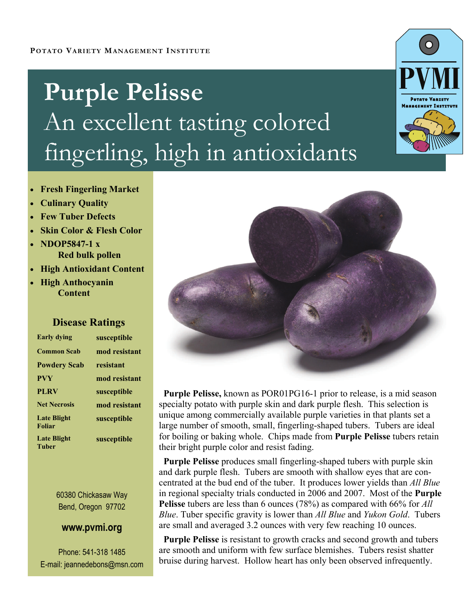# **Purple Pelisse**  An excellent tasting colored fingerling, high in antioxidants



- **Fresh Fingerling Market**
- **Culinary Quality**
- **Few Tuber Defects**
- **Skin Color & Flesh Color**
- **NDOP5847-1 x Red bulk pollen**
- **High Antioxidant Content**
- **High Anthocyanin Content**

# **Disease Ratings**

| <b>Early dying</b>                  | susceptible   |
|-------------------------------------|---------------|
| <b>Common Scab</b>                  | mod resistant |
| <b>Powdery Scab</b>                 | resistant     |
| <b>PVY</b>                          | mod resistant |
| <b>PLRV</b>                         | susceptible   |
| <b>Net Necrosis</b>                 | mod resistant |
| <b>Late Blight</b><br><b>Foliar</b> | susceptible   |
| <b>Late Blight</b><br><b>Tuber</b>  | susceptible   |

60380 Chickasaw Way Bend, Oregon 97702

### **www.pvmi.org**

Phone: 541-318 1485 E-mail: jeannedebons@msn.com



 **Purple Pelisse,** known as POR01PG16-1 prior to release, is a mid season specialty potato with purple skin and dark purple flesh. This selection is unique among commercially available purple varieties in that plants set a large number of smooth, small, fingerling-shaped tubers. Tubers are ideal for boiling or baking whole. Chips made from **Purple Pelisse** tubers retain their bright purple color and resist fading.

 **Purple Pelisse** produces small fingerling-shaped tubers with purple skin and dark purple flesh. Tubers are smooth with shallow eyes that are concentrated at the bud end of the tuber. It produces lower yields than *All Blue*  in regional specialty trials conducted in 2006 and 2007. Most of the **Purple Pelisse** tubers are less than 6 ounces (78%) as compared with 66% for *All Blue*. Tuber specific gravity is lower than *All Blue* and *Yukon Gold*. Tubers are small and averaged 3.2 ounces with very few reaching 10 ounces.

 **Purple Pelisse** is resistant to growth cracks and second growth and tubers are smooth and uniform with few surface blemishes. Tubers resist shatter bruise during harvest. Hollow heart has only been observed infrequently.